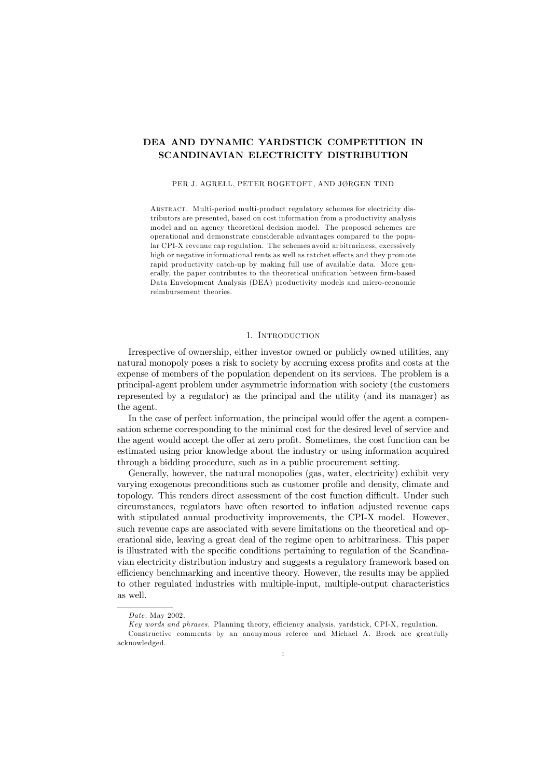# DEA AND DYNAMIC YARDSTICK COMPETITION IN SCANDINAVIAN ELECTRICITY DISTRIBUTION

### PER J. AGRELL, PETER BOGETOFT, AND JØRGEN TIND

Abstract. Multi-period multi-product regulatory schemes for electricity distributors are presented, based on cost information from a productivity analysis model and an agency theoretical decision model. The proposed schemes are operational and demonstrate considerable advantages compared to the popular CPI-X revenue cap regulation. The schemes avoid arbitrariness, excessively high or negative informational rents as well as ratchet effects and they promote rapid productivity catch-up by making full use of available data. More generally, the paper contributes to the theoretical unification between firm-based Data Envelopment Analysis (DEA) productivity models and micro-economic reimbursement theories.

## 1. Introduction

Irrespective of ownership, either investor owned or publicly owned utilities, any natural monopoly poses a risk to society by accruing excess profits and costs at the expense of members of the population dependent on its services. The problem is a principal-agent problem under asymmetric information with society (the customers represented by a regulator) as the principal and the utility (and its manager) as the agent.

In the case of perfect information, the principal would offer the agent a compensation scheme corresponding to the minimal cost for the desired level of service and the agent would accept the offer at zero profit. Sometimes, the cost function can be estimated using prior knowledge about the industry or using information acquired through a bidding procedure, such as in a public procurement setting.

Generally, however, the natural monopolies (gas, water, electricity) exhibit very varying exogenous preconditions such as customer prole and density, climate and topology. This renders direct assessment of the cost function difficult. Under such circumstances, regulators have often resorted to inflation adjusted revenue caps with stipulated annual productivity improvements, the CPI-X model. However, such revenue caps are associated with severe limitations on the theoretical and operational side, leaving a great deal of the regime open to arbitrariness. This paper is illustrated with the specific conditions pertaining to regulation of the Scandinavian electricity distribution industry and suggests a regulatory framework based on efficiency benchmarking and incentive theory. However, the results may be applied to other regulated industries with multiple-input, multiple-output characteristics as well.

Date: May 2002.

Key words and phrases. Planning theory, efficiency analysis, yardstick, CPI-X, regulation.

Constructive comments by an anonymous referee and Michael A. Brock are greatfully acknowledged.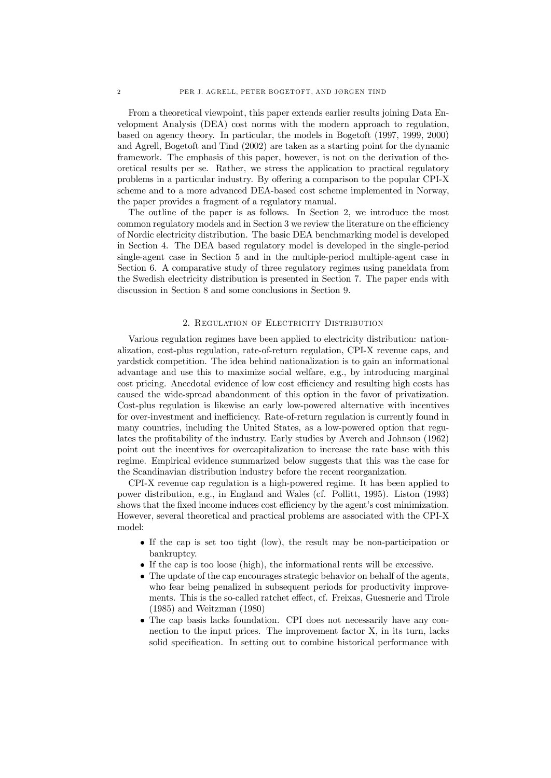From a theoretical viewpoint, this paper extends earlier results joining Data Envelopment Analysis (DEA) cost norms with the modern approach to regulation, based on agency theory. In particular, the models in Bogetoft (1997, 1999, 2000) and Agrell, Bogetoft and Tind (2002) are taken as a starting point for the dynamic framework. The emphasis of this paper, however, is not on the derivation of theoretical results per se. Rather, we stress the application to practical regulatory problems in a particular industry. By offering a comparison to the popular CPI-X scheme and to a more advanced DEA-based cost scheme implemented in Norway, the paper provides a fragment of a regulatory manual.

The outline of the paper is as follows. In Section 2, we introduce the most  $common$  regulatory models and in Section  $3$  we review the literature on the efficiency of Nordic electricity distribution. The basic DEA benchmarking model is developed in Section 4. The DEA based regulatory model is developed in the single-period single-agent case in Section 5 and in the multiple-period multiple-agent case in Section 6. A comparative study of three regulatory regimes using paneldata from the Swedish electricity distribution is presented in Section 7. The paper ends with discussion in Section 8 and some conclusions in Section 9.

### 2. Regulation of Electricity Distribution

Various regulation regimes have been applied to electricity distribution: nationalization, cost-plus regulation, rate-of-return regulation, CPI-X revenue caps, and yardstick competition. The idea behind nationalization is to gain an informational advantage and use this to maximize social welfare, e.g., by introducing marginal cost pricing. Anecdotal evidence of low cost efficiency and resulting high costs has caused the wide-spread abandonment of this option in the favor of privatization. Cost-plus regulation is likewise an early low-powered alternative with incentives for over-investment and inefficiency. Rate-of-return regulation is currently found in many countries, including the United States, as a low-powered option that regulates the profitability of the industry. Early studies by Averch and Johnson (1962) point out the incentives for overcapitalization to increase the rate base with this regime. Empirical evidence summarized below suggests that this was the case for the Scandinavian distribution industry before the recent reorganization.

CPI-X revenue cap regulation is a high-powered regime. It has been applied to power distribution, e.g., in England and Wales (cf. Pollitt, 1995). Liston (1993) shows that the fixed income induces cost efficiency by the agent's cost minimization. However, several theoretical and practical problems are associated with the CPI-X model:

- If the cap is set too tight (low), the result may be non-participation or bankruptcy.
- If the cap is too loose (high), the informational rents will be excessive.
- The update of the cap encourages strategic behavior on behalf of the agents, who fear being penalized in subsequent periods for productivity improvements. This is the so-called ratchet effect, cf. Freixas, Guesnerie and Tirole (1985) and Weitzman (1980)
- The cap basis lacks foundation. CPI does not necessarily have any connection to the input prices. The improvement factor X, in its turn, lacks solid specification. In setting out to combine historical performance with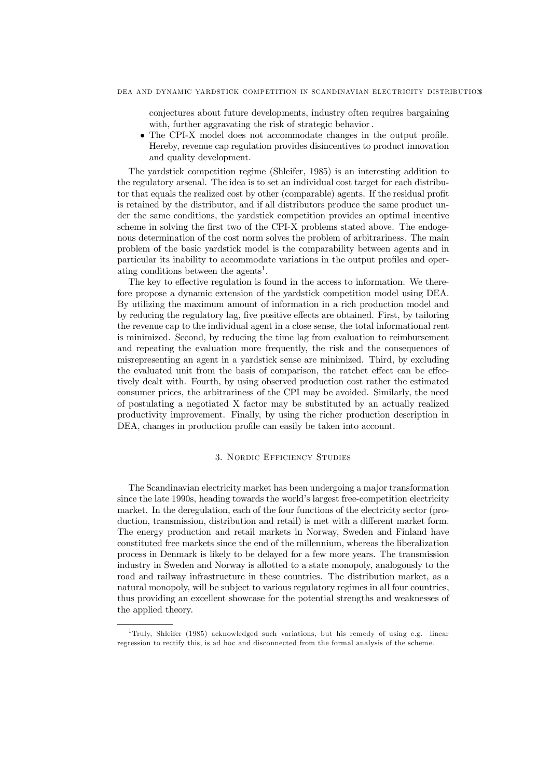conjectures about future developments, industry often requires bargaining with, further aggravating the risk of strategic behavior.

 $\bullet$  The CPI-X model does not accommodate changes in the output profile. Hereby, revenue cap regulation provides disincentives to product innovation and quality development.

The yardstick competition regime (Shleifer, 1985) is an interesting addition to the regulatory arsenal. The idea is to set an individual cost target for each distributor that equals the realized cost by other (comparable) agents. If the residual prot is retained by the distributor, and if all distributors produce the same product under the same conditions, the yardstick competition provides an optimal incentive scheme in solving the first two of the CPI-X problems stated above. The endogenous determination of the cost norm solves the problem of arbitrariness. The main problem of the basic yardstick model is the comparability between agents and in particular its inability to accommodate variations in the output profiles and operating conditions between the agents 1 .

The key to effective regulation is found in the access to information. We therefore propose a dynamic extension of the yardstick competition model using DEA. By utilizing the maximum amount of information in a rich production model and by reducing the regulatory lag, five positive effects are obtained. First, by tailoring the revenue cap to the individual agent in a close sense, the total informational rent is minimized. Second, by reducing the time lag from evaluation to reimbursement and repeating the evaluation more frequently, the risk and the consequences of misrepresenting an agent in a yardstick sense are minimized. Third, by excluding the evaluated unit from the basis of comparison, the ratchet effect can be effectively dealt with. Fourth, by using observed production cost rather the estimated consumer prices, the arbitrariness of the CPI may be avoided. Similarly, the need of postulating a negotiated X factor may be substituted by an actually realized productivity improvement. Finally, by using the richer production description in DEA, changes in production profile can easily be taken into account.

# 3. Nordic Efficiency Studies

The Scandinavian electricity market has been undergoing a major transformation since the late 1990s, heading towards the world's largest free-competition electricity market. In the deregulation, each of the four functions of the electricity sector (production, transmission, distribution and retail) is met with a different market form. The energy production and retail markets in Norway, Sweden and Finland have constituted free markets since the end of the millennium, whereas the liberalization process in Denmark is likely to be delayed for a few more years. The transmission industry in Sweden and Norway is allotted to a state monopoly, analogously to the road and railway infrastructure in these countries. The distribution market, as a natural monopoly, will be subject to various regulatory regimes in all four countries, thus providing an excellent showcase for the potential strengths and weaknesses of the applied theory.

<sup>1</sup>Truly, Shleifer (1985) acknowledged such variations, but his remedy of using e.g. linear regression to rectify this, is ad hoc and disconnected from the formal analysis of the scheme.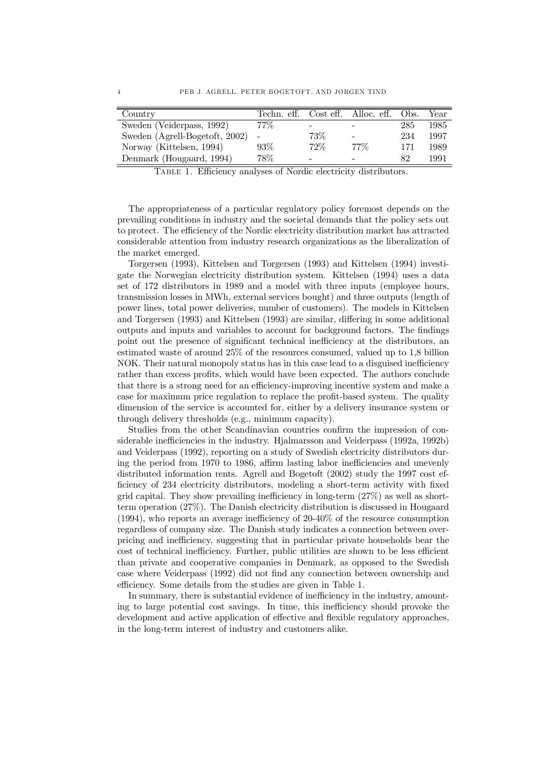| Country                        |        |        | Techn. eff. Cost eff. Alloc. eff. | Obs. | Year |
|--------------------------------|--------|--------|-----------------------------------|------|------|
| Sweden (Veiderpass, 1992)      | $77\%$ | -      |                                   | 285  | 1985 |
| Sweden (Agrell-Bogetoft, 2002) |        | $73\%$ |                                   | 234  | 1997 |
| Norway (Kittelsen, 1994)       | $93\%$ | 72%    | $77\%$                            | 171  | 1989 |
| Denmark (Hougaard, 1994)       | 78\%   | -      |                                   | 82   | 1991 |

TABLE 1. Efficiency analyses of Nordic electricity distributors.

The appropriateness of a particular regulatory policy foremost depends on the prevailing conditions in industry and the societal demands that the policy sets out to protect. The efficiency of the Nordic electricity distribution market has attracted considerable attention from industry research organizations as the liberalization of the market emerged.

Torgersen (1993), Kittelsen and Torgersen (1993) and Kittelsen (1994) investigate the Norwegian electricity distribution system. Kittelsen (1994) uses a data set of 172 distributors in 1989 and a model with three inputs (employee hours, transmission losses in MWh, external services bought) and three outputs (length of power lines, total power deliveries, number of customers). The models in Kittelsen and Torgersen (1993) and Kittelsen (1993) are similar, differing in some additional outputs and inputs and variables to account for background factors. The findings point out the presence of significant technical inefficiency at the distributors, an estimated waste of around 25% of the resources consumed, valued up to 1,8 billion NOK. Their natural monopoly status has in this case lead to a disguised inefficiency rather than excess profits, which would have been expected. The authors conclude that there is a strong need for an efficiency-improving incentive system and make a case for maximum price regulation to replace the profit-based system. The quality dimension of the service is accounted for, either by a delivery insurance system or through delivery thresholds (e.g., minimum capacity).

Studies from the other Scandinavian countries confirm the impression of considerable inefficiencies in the industry. Hjalmarsson and Veiderpass (1992a, 1992b) and Veiderpass (1992), reporting on a study of Swedish electricity distributors during the period from 1970 to 1986, affirm lasting labor inefficiencies and unevenly distributed information rents. Agrell and Bogetoft (2002) study the 1997 cost ef ficiency of  $234$  electricity distributors, modeling a short-term activity with fixed grid capital. They show prevailing inefficiency in long-term  $(27%)$  as well as shortterm operation (27%). The Danish electricity distribution is discussed in Hougaard  $(1994)$ , who reports an average inefficiency of 20-40% of the resource consumption regardless of company size. The Danish study indicates a connection between overpricing and inefficiency, suggesting that in particular private households bear the cost of technical inefficiency. Further, public utilities are shown to be less efficient than private and cooperative companies in Denmark, as opposed to the Swedish case where Veiderpass (1992) did not find any connection between ownership and efficiency. Some details from the studies are given in Table 1.

In summary, there is substantial evidence of inefficiency in the industry, amounting to large potential cost savings. In time, this inefficiency should provoke the development and active application of effective and flexible regulatory approaches, in the long-term interest of industry and customers alike.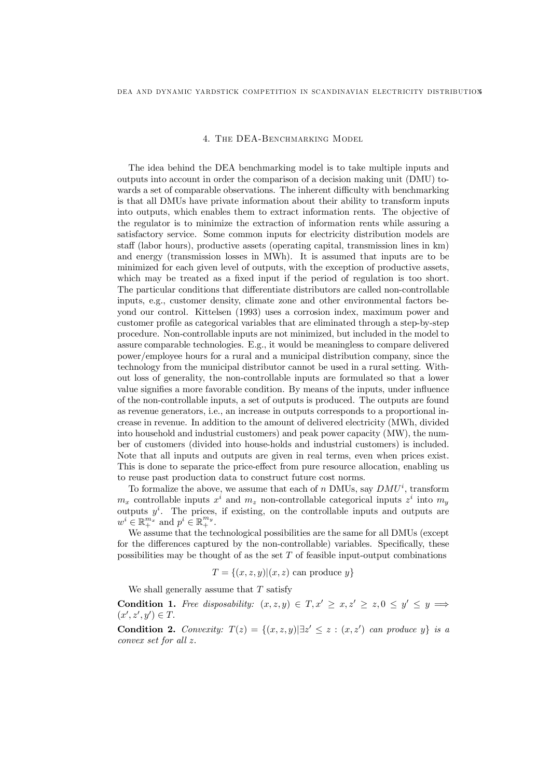#### 4. THE DEA-BENCHMARKING MODEL

The idea behind the DEA benchmarking model is to take multiple inputs and outputs into account in order the comparison of a decision making unit (DMU) towards a set of comparable observations. The inherent difficulty with benchmarking is that all DMUs have private information about their ability to transform inputs into outputs, which enables them to extract information rents. The objective of the regulator is to minimize the extraction of information rents while assuring a satisfactory service. Some common inputs for electricity distribution models are sta¤ (labor hours), productive assets (operating capital, transmission lines in km) and energy (transmission losses in MWh). It is assumed that inputs are to be minimized for each given level of outputs, with the exception of productive assets, which may be treated as a fixed input if the period of regulation is too short. The particular conditions that differentiate distributors are called non-controllable inputs, e.g., customer density, climate zone and other environmental factors beyond our control. Kittelsen (1993) uses a corrosion index, maximum power and customer prole as categorical variables that are eliminated through a step-by-step procedure. Non-controllable inputs are not minimized, but included in the model to assure comparable technologies. E.g., it would be meaningless to compare delivered power/employee hours for a rural and a municipal distribution company, since the technology from the municipal distributor cannot be used in a rural setting. Without loss of generality, the non-controllable inputs are formulated so that a lower value signifies a more favorable condition. By means of the inputs, under influence of the non-controllable inputs, a set of outputs is produced. The outputs are found as revenue generators, i.e., an increase in outputs corresponds to a proportional increase in revenue. In addition to the amount of delivered electricity (MWh, divided into household and industrial customers) and peak power capacity (MW), the number of customers (divided into house-holds and industrial customers) is included. Note that all inputs and outputs are given in real terms, even when prices exist. This is done to separate the price-effect from pure resource allocation, enabling us to reuse past production data to construct future cost norms.

To formalize the above, we assume that each of n DMUs, say  $DMU^i$ , transform  $m_x$  controllable inputs  $x^i$  and  $m_z$  non-controllable categorical inputs  $z^i$  into  $m_y$ outputs  $y^i$ . The prices, if existing, on the controllable inputs and outputs are  $w^i \in \mathbb{R}_+^{m_x}$  and  $p^i \in \mathbb{R}_+^{m_y}$ .

We assume that the technological possibilities are the same for all DMUs (except for the differences captured by the non-controllable) variables. Specifically, these possibilities may be thought of as the set  $T$  of feasible input-output combinations

$$
T = \{(x, z, y) | (x, z) \text{ can produce } y\}
$$

We shall generally assume that  $T$  satisfy

Condition 1. Free disposability:  $(x, z, y) \in T, x' \geq x, z' \geq z, 0 \leq y' \leq y \implies$  $(x', z', y') \in T.$ 

**Condition 2.** Convexity:  $T(z) = \{(x, z, y) | \exists z' \leq z : (x, z') \text{ can produce } y\}$  is a convex set for all z: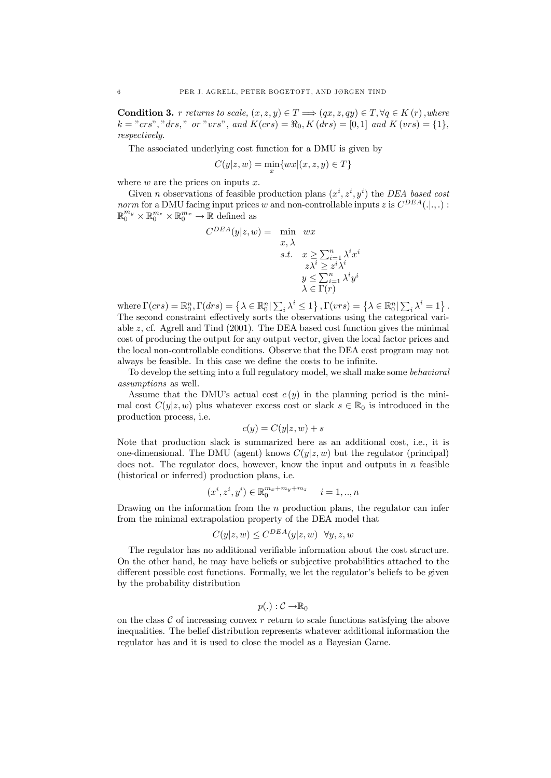**Condition 3.** r returns to scale,  $(x, z, y) \in T \Longrightarrow (qx, z, qy) \in T, \forall q \in K(r)$ , where  $k = "crs", "drs", "or "vrs", and K(crs) = \Re_0, K(drs) = [0, 1] \text{ and } K(vrs) = \{1\},\$ respectively.

The associated underlying cost function for a DMU is given by

$$
C(y|z,w) = \min_{x} \{wx|(x,z,y) \in T\}
$$

where  $w$  are the prices on inputs  $x$ .

Given *n* observations of feasible production plans  $(x^i, z^i, y^i)$  the DEA based cost norm for a DMU facing input prices w and non-controllable inputs z is  $C^{DEA}(.|.,.):$  $\mathbb{R}_0^{m_y} \times \mathbb{R}_0^{m_z} \times \mathbb{R}_0^{m_x} \to \mathbb{R}$  defined as

$$
C^{DEA}(y|z, w) = \min_{\begin{subarray}{l} x, \lambda \\ s.t. \end{subarray}} wx
$$
  

$$
s.t. \quad x \ge \sum_{i=1}^{n} \lambda^i x^i
$$
  

$$
z\lambda^i \ge z^i \lambda^i
$$
  

$$
y \le \sum_{i=1}^{n} \lambda^i y^i
$$
  

$$
\lambda \in \Gamma(r)
$$

where  $\Gamma(crs) = \mathbb{R}_0^n$ ,  $\Gamma(drs) =$  $\left\{ \lambda\in\mathbb{R}_{0}^{n}|\sum\right.$  $i \lambda^i \leq 1$  $; \Gamma(vrs) =$  $\left\{ \lambda\in\mathbb{R}_{0}^{n}|\sum\right.$  $i \lambda^i = 1$ : The second constraint effectively sorts the observations using the categorical variable  $z$ , cf. Agrell and Tind  $(2001)$ . The DEA based cost function gives the minimal cost of producing the output for any output vector, given the local factor prices and the local non-controllable conditions. Observe that the DEA cost program may not always be feasible. In this case we define the costs to be infinite.

To develop the setting into a full regulatory model, we shall make some behavioral assumptions as well.

Assume that the DMU's actual cost  $c(y)$  in the planning period is the minimal cost  $C(y|z, w)$  plus whatever excess cost or slack  $s \in \mathbb{R}_0$  is introduced in the production process, i.e.

$$
c(y) = C(y|z, w) + s
$$

Note that production slack is summarized here as an additional cost, i.e., it is one-dimensional. The DMU (agent) knows  $C(y|z, w)$  but the regulator (principal) does not. The regulator does, however, know the input and outputs in  $n$  feasible (historical or inferred) production plans, i.e.

$$
(x^i,z^i,y^i)\in\mathbb{R}^{m_x+m_y+m_z}_0\quad i=1,..,n
$$

Drawing on the information from the  $n$  production plans, the regulator can infer from the minimal extrapolation property of the DEA model that

$$
C(y|z,w) \le C^{DEA}(y|z,w) \quad \forall y, z, w
$$

The regulator has no additional verifiable information about the cost structure. On the other hand, he may have beliefs or subjective probabilities attached to the different possible cost functions. Formally, we let the regulator's beliefs to be given by the probability distribution

$$
p(.) : \mathcal{C} \to \mathbb{R}_0
$$

on the class  $\mathcal C$  of increasing convex r return to scale functions satisfying the above inequalities. The belief distribution represents whatever additional information the regulator has and it is used to close the model as a Bayesian Game.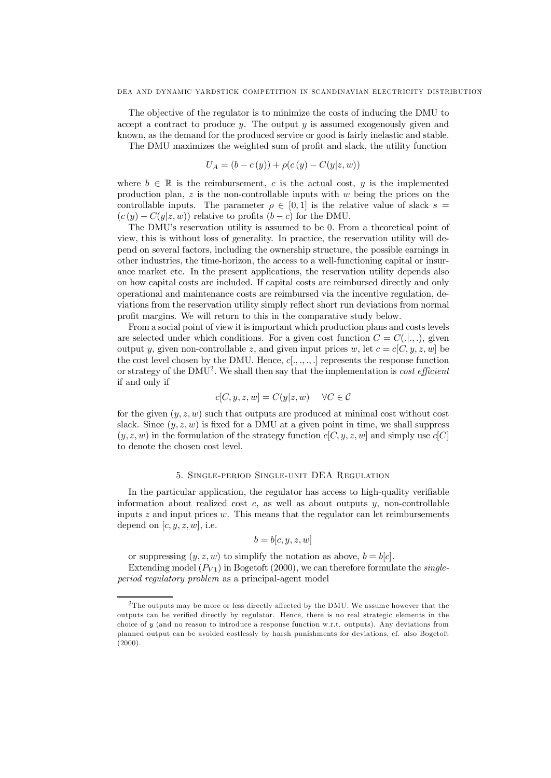The objective of the regulator is to minimize the costs of inducing the DMU to accept a contract to produce  $y$ . The output  $y$  is assumed exogenously given and known, as the demand for the produced service or good is fairly inelastic and stable.

The DMU maximizes the weighted sum of profit and slack, the utility function

$$
U_A = (b - c(y)) + \rho(c(y) - C(y|z, w))
$$

where  $b \in \mathbb{R}$  is the reimbursement, c is the actual cost, y is the implemented production plan,  $z$  is the non-controllable inputs with  $w$  being the prices on the controllable inputs. The parameter  $\rho \in [0, 1]$  is the relative value of slack  $s =$  $(c(y) - C(y|z, w))$  relative to profits  $(b - c)$  for the DMU.

The DMU's reservation utility is assumed to be 0. From a theoretical point of view, this is without loss of generality. In practice, the reservation utility will depend on several factors, including the ownership structure, the possible earnings in other industries, the time-horizon, the access to a well-functioning capital or insurance market etc. In the present applications, the reservation utility depends also on how capital costs are included. If capital costs are reimbursed directly and only operational and maintenance costs are reimbursed via the incentive regulation, deviations from the reservation utility simply reflect short run deviations from normal profit margins. We will return to this in the comparative study below.

From a social point of view it is important which production plans and costs levels are selected under which conditions. For a given cost function  $C = C(.|, .),$  given output y, given non-controllable z, and given input prices w, let  $c = c[C, y, z, w]$  be the cost level chosen by the DMU. Hence,  $c[:, \ldots, \ldots]$  represents the response function or strategy of the DMU<sup>2</sup>. We shall then say that the implementation is *cost efficient* if and only if

$$
c[C, y, z, w] = C(y|z, w) \quad \forall C \in \mathcal{C}
$$

for the given  $(y, z, w)$  such that outputs are produced at minimal cost without cost slack. Since  $(y, z, w)$  is fixed for a DMU at a given point in time, we shall suppress  $(y, z, w)$  in the formulation of the strategy function  $c[C, y, z, w]$  and simply use  $c[C]$ to denote the chosen cost level.

# 5. Single-period Single-unit DEA Regulation

In the particular application, the regulator has access to high-quality veriable information about realized cost  $c$ , as well as about outputs  $y$ , non-controllable inputs  $z$  and input prices  $w$ . This means that the regulator can let reimbursements depend on  $[c, y, z, w]$ , i.e.

$$
b = b[c, y, z, w]
$$

or suppressing  $(y, z, w)$  to simplify the notation as above,  $b = b[c]$ .

Extending model  $(P_{V1})$  in Bogetoft (2000), we can therefore formulate the *single*period regulatory problem as a principal-agent model

 $\rm ^2The$  outputs may be more or less directly affected by the DMU. We assume however that the outputs can be verified directly by regulator. Hence, there is no real strategic elements in the choice of y (and no reason to introduce a response function w.r.t. outputs). Any deviations from planned output can be avoided costlessly by harsh punishments for deviations, cf. also Bogetoft (2000).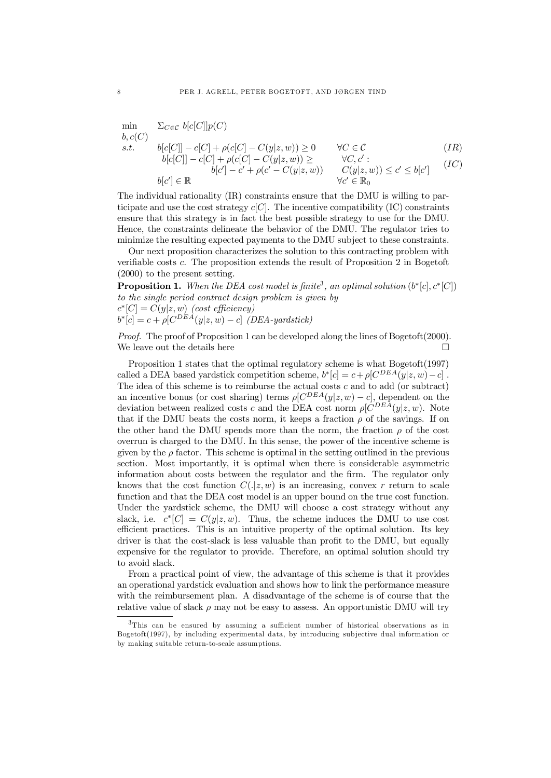$$
\begin{array}{ll}\n\min & \sum_{C \in \mathcal{C}} \; b[c[C]]p(C) \\
b, c(C) \\
s.t. & b[c[C]] - c[C] + \rho(c[C] - C(y|z, w)) \ge 0 \\
& b[c[C]] - c[C] + \rho(c[C] - C(y|z, w)) \ge \forall C, c': \\
b[c'] - c' + \rho(c' - C(y|z, w)) \\
& b[c'] \in \mathbb{R} \\
\forall c' \in \mathbb{R}_0\n\end{array} \tag{IC}
$$

The individual rationality (IR) constraints ensure that the DMU is willing to participate and use the cost strategy  $c[C]$ . The incentive compatibility (IC) constraints ensure that this strategy is in fact the best possible strategy to use for the DMU. Hence, the constraints delineate the behavior of the DMU. The regulator tries to minimize the resulting expected payments to the DMU subject to these constraints.

Our next proposition characterizes the solution to this contracting problem with veriable costs c. The proposition extends the result of Proposition 2 in Bogetoft (2000) to the present setting.

**Proposition 1.** When the DEA cost model is finite<sup>3</sup>, an optimal solution  $(b^*[c], c^*[C])$ to the single period contract design problem is given by  $c^*[C] = C(y|z,w)$  (cost efficiency)  $b^*[c] = c + \rho [C^{DEA}(y|z,w) - c]$  (DEA-yardstick)

Proof. The proof of Proposition 1 can be developed along the lines of Bogetoft(2000). We leave out the details here  $\Box$ 

Proposition 1 states that the optimal regulatory scheme is what Bogetoft(1997) called a DEA based yardstick competition scheme,  $b^*[c] = c + \rho [C^{DEA}(y|z, w) - c]$ . The idea of this scheme is to reimburse the actual costs  $c$  and to add (or subtract) an incentive bonus (or cost sharing) terms  $\rho[C^{DEA}(y|z, w) - c]$ , dependent on the deviation between realized costs c and the DEA cost norm  $\rho[C^{DEA}(y|z, w)]$ . Note that if the DMU beats the costs norm, it keeps a fraction  $\rho$  of the savings. If on the other hand the DMU spends more than the norm, the fraction  $\rho$  of the cost overrun is charged to the DMU. In this sense, the power of the incentive scheme is given by the  $\rho$  factor. This scheme is optimal in the setting outlined in the previous section. Most importantly, it is optimal when there is considerable asymmetric information about costs between the regulator and the rm. The regulator only knows that the cost function  $C(.|z,w)$  is an increasing, convex r return to scale function and that the DEA cost model is an upper bound on the true cost function. Under the yardstick scheme, the DMU will choose a cost strategy without any slack, i.e.  $c^*[C] = C(y|z,w)$ . Thus, the scheme induces the DMU to use cost efficient practices. This is an intuitive property of the optimal solution. Its key driver is that the cost-slack is less valuable than profit to the DMU, but equally expensive for the regulator to provide. Therefore, an optimal solution should try to avoid slack.

From a practical point of view, the advantage of this scheme is that it provides an operational yardstick evaluation and shows how to link the performance measure with the reimbursement plan. A disadvantage of the scheme is of course that the relative value of slack  $\rho$  may not be easy to assess. An opportunistic DMU will try

 $3$ This can be ensured by assuming a sufficient number of historical observations as in Bogetoft(1997), by including experimental data, by introducing subjective dual information or by making suitable return-to-scale assumptions.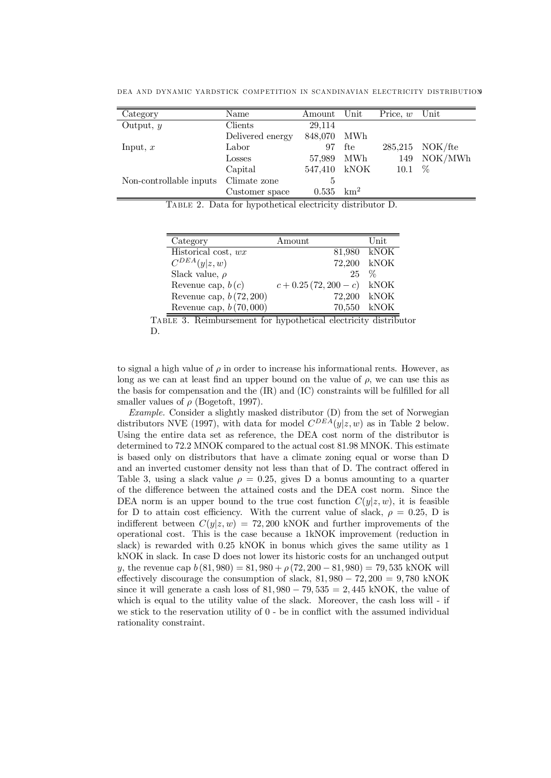| Category                | Name             | $A$ mount | $\bm{\mathrm{Unit}}$ | Price, $w$               | $\operatorname{Unit}$ |
|-------------------------|------------------|-----------|----------------------|--------------------------|-----------------------|
| Output, $y$             | Clients          | 29,114    |                      |                          |                       |
|                         | Delivered energy | 848,070   | MWh                  |                          |                       |
| Input, $x$              | Labor            | 97        | fte                  |                          | $285,215$ NOK/fte     |
|                         | Losses           | 57,989    | MWh                  | 149                      | NOK/MWh               |
|                         | Capital          | 547,410   | kNOK                 | 10.1 $%$                 |                       |
| Non-controllable inputs | Climate zone     | Ð         |                      |                          |                       |
|                         | Customer space   | 0.535     | $\mathrm{km}^2$      |                          |                       |
| $\sim$ $\sim$           | .                |           |                      | $\overline{\phantom{a}}$ |                       |

DEA AND DYNAMIC YARDSTICK COMPETITION IN SCANDINAVIAN ELECTRICITY DISTRIBUTION9

Table 2. Data for hypothetical electricity distributor D.

| Category                  | Amount                       | Unit        |
|---------------------------|------------------------------|-------------|
| Historical cost, wx       |                              | 81,980 kNOK |
| $C^{DEA}(y z,w)$          |                              | 72,200 kNOK |
| Slack value, $\rho$       | $25 \frac{6}{6}$             |             |
| Revenue cap, $b(c)$       | $c + 0.25(72, 200 - c)$ kNOK |             |
| Revenue cap, $b(72, 200)$ |                              | 72.200 kNOK |
| Revenue cap, $b(70,000)$  |                              | 70,550 kNOK |



to signal a high value of  $\rho$  in order to increase his informational rents. However, as long as we can at least find an upper bound on the value of  $\rho$ , we can use this as the basis for compensation and the  $(IR)$  and  $(IC)$  constraints will be fulfilled for all smaller values of  $\rho$  (Bogetoft, 1997).

Example. Consider a slightly masked distributor (D) from the set of Norwegian distributors NVE (1997), with data for model  $C^{DEA}(y|z, w)$  as in Table 2 below. Using the entire data set as reference, the DEA cost norm of the distributor is determined to 72.2 MNOK compared to the actual cost 81.98 MNOK. This estimate is based only on distributors that have a climate zoning equal or worse than D and an inverted customer density not less than that of D. The contract offered in Table 3, using a slack value  $\rho = 0.25$ , gives D a bonus amounting to a quarter of the difference between the attained costs and the DEA cost norm. Since the DEA norm is an upper bound to the true cost function  $C(y|z, w)$ , it is feasible for D to attain cost efficiency. With the current value of slack,  $\rho = 0.25$ , D is indifferent between  $C(y|z, w) = 72,200$  kNOK and further improvements of the operational cost. This is the case because a 1kNOK improvement (reduction in slack) is rewarded with 0:25 kNOK in bonus which gives the same utility as 1 kNOK in slack. In case D does not lower its historic costs for an unchanged output y, the revenue cap  $b(81, 980) = 81,980 + \rho(72, 200 - 81, 980) = 79,535$  kNOK will effectively discourage the consumption of slack,  $81,980 - 72,200 = 9,780$  kNOK since it will generate a cash loss of  $81,980 - 79,535 = 2,445$  kNOK, the value of which is equal to the utility value of the slack. Moreover, the cash loss will - if we stick to the reservation utility of  $0$  - be in conflict with the assumed individual rationality constraint.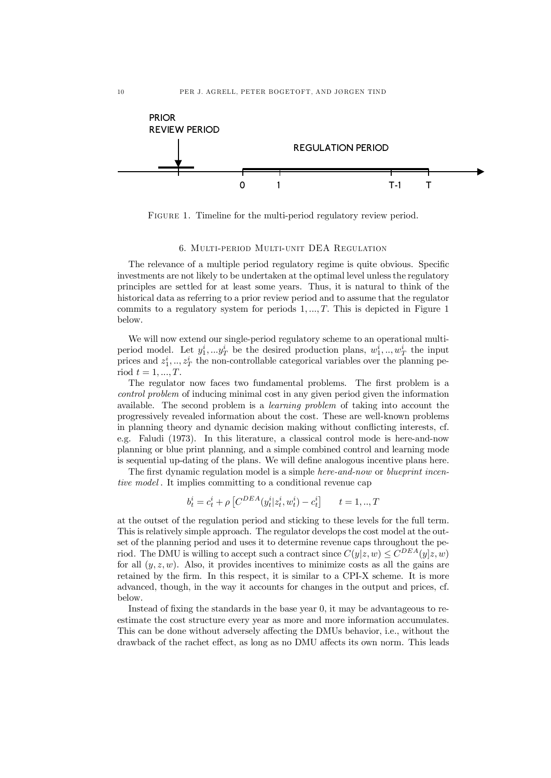

FIGURE 1. Timeline for the multi-period regulatory review period.

### 6. Multi-period Multi-unit DEA Regulation

The relevance of a multiple period regulatory regime is quite obvious. Specific investments are not likely to be undertaken at the optimal level unless the regulatory principles are settled for at least some years. Thus, it is natural to think of the historical data as referring to a prior review period and to assume that the regulator commits to a regulatory system for periods  $1, \ldots, T$ . This is depicted in Figure 1 below.

We will now extend our single-period regulatory scheme to an operational multiperiod model. Let  $y_1^i, \ldots, y_T^i$  be the desired production plans,  $w_1^i, \ldots, w_T^i$  the input prices and  $z_1^i, \ldots, z_T^i$  the non-controllable categorical variables over the planning period  $t = 1, ..., T$ .

The regulator now faces two fundamental problems. The first problem is a control problem of inducing minimal cost in any given period given the information available. The second problem is a learning problem of taking into account the progressively revealed information about the cost. These are well-known problems in planning theory and dynamic decision making without conicting interests, cf. e.g. Faludi (1973). In this literature, a classical control mode is here-and-now planning or blue print planning, and a simple combined control and learning mode is sequential up-dating of the plans. We will define analogous incentive plans here.

The first dynamic regulation model is a simple *here-and-now* or *blueprint incen*tive model . It implies committing to a conditional revenue cap

$$
b_t^i = c_t^i + \rho \left[ C^{DEA}(y_t^i | z_t^i, w_t^i) - c_t^i \right] \qquad t = 1,..,T
$$

at the outset of the regulation period and sticking to these levels for the full term. This is relatively simple approach. The regulator develops the cost model at the outset of the planning period and uses it to determine revenue caps throughout the period. The DMU is willing to accept such a contract since  $C(y|z, w) \le C^{DEA}(y|z, w)$ for all  $(y, z, w)$ . Also, it provides incentives to minimize costs as all the gains are retained by the firm. In this respect, it is similar to a CPI-X scheme. It is more advanced, though, in the way it accounts for changes in the output and prices, cf. below.

Instead of fixing the standards in the base year  $0$ , it may be advantageous to reestimate the cost structure every year as more and more information accumulates. This can be done without adversely affecting the DMUs behavior, i.e., without the drawback of the rachet effect, as long as no DMU affects its own norm. This leads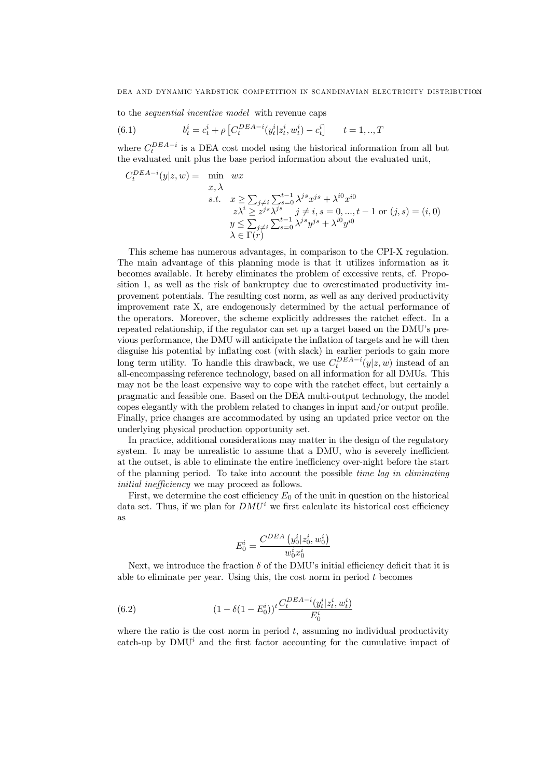to the sequential incentive model with revenue caps

(6.1) 
$$
b_t^i = c_t^i + \rho \left[ C_t^{DEA-i} (y_t^i | z_t^i, w_t^i) - c_t^i \right] \qquad t = 1,..,T
$$

where  $C_t^{DEA-i}$  is a DEA cost model using the historical information from all but the evaluated unit plus the base period information about the evaluated unit,

$$
C_t^{DEA-i}(y|z, w) = \min_{x, \lambda} wx
$$
  
s.t.  $x \ge \sum_{j \ne i} \sum_{s=0}^{t-1} \lambda^{js} x^{js} + \lambda^{i0} x^{i0}$   
 $z\lambda^i \ge z^{js}\lambda^{js} \quad j \ne i, s = 0, ..., t - 1 \text{ or } (j, s) = (i, 0)$   
 $y \le \sum_{j \ne i} \sum_{s=0}^{t-1} \lambda^{js} y^{js} + \lambda^{i0} y^{i0}$   
 $\lambda \in \Gamma(r)$ 

This scheme has numerous advantages, in comparison to the CPI-X regulation. The main advantage of this planning mode is that it utilizes information as it becomes available. It hereby eliminates the problem of excessive rents, cf. Proposition 1, as well as the risk of bankruptcy due to overestimated productivity improvement potentials. The resulting cost norm, as well as any derived productivity improvement rate X, are endogenously determined by the actual performance of the operators. Moreover, the scheme explicitly addresses the ratchet effect. In a repeated relationship, if the regulator can set up a target based on the DMUs previous performance, the DMU will anticipate the inflation of targets and he will then disguise his potential by inflating cost (with slack) in earlier periods to gain more long term utility. To handle this drawback, we use  $C_t^{DEA-i}(y|z,w)$  instead of an all-encompassing reference technology, based on all information for all DMUs. This may not be the least expensive way to cope with the ratchet effect, but certainly a pragmatic and feasible one. Based on the DEA multi-output technology, the model copes elegantly with the problem related to changes in input and/or output profile. Finally, price changes are accommodated by using an updated price vector on the underlying physical production opportunity set.

In practice, additional considerations may matter in the design of the regulatory system. It may be unrealistic to assume that a DMU, who is severely inefficient at the outset, is able to eliminate the entire inefficiency over-night before the start of the planning period. To take into account the possible time lag in eliminating initial inefficiency we may proceed as follows.

First, we determine the cost efficiency  $E_0$  of the unit in question on the historical data set. Thus, if we plan for  $DMU^i$  we first calculate its historical cost efficiency as

$$
E_0^i = \frac{C^{DEA} (y_0^i | z_0^i, w_0^i)}{w_0^i x_0^i}
$$

Next, we introduce the fraction  $\delta$  of the DMU's initial efficiency deficit that it is able to eliminate per year. Using this, the cost norm in period  $t$  becomes

(6.2) 
$$
(1 - \delta(1 - E_0^i))^t \frac{C_t^{DEA - i}(y_t^i | z_t^i, w_t^i)}{E_0^i}
$$

where the ratio is the cost norm in period  $t$ , assuming no individual productivity catch-up by  $\text{DMU}^i$  and the first factor accounting for the cumulative impact of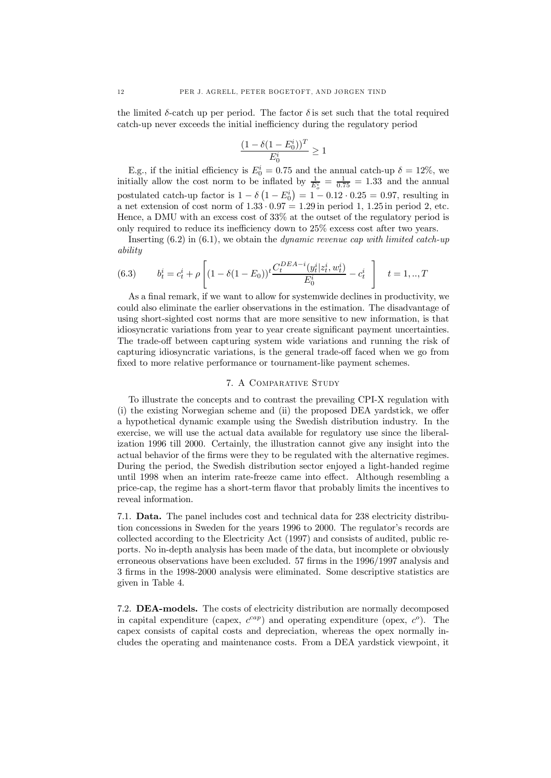the limited  $\delta$ -catch up per period. The factor  $\delta$  is set such that the total required catch-up never exceeds the initial inefficiency during the regulatory period

$$
\frac{(1 - \delta(1 - E_0^i))^T}{E_0^i} \ge 1
$$

E.g., if the initial efficiency is  $E_0^i = 0.75$  and the annual catch-up  $\delta = 12\%$ , we initially allow the cost norm to be inflated by  $\frac{1}{E_o^i} = \frac{1}{0.75} = 1.33$  and the annual postulated catch-up factor is  $1 - \delta \left(1 - E_0^i\right) = 1 - 0.12 \cdot 0.25 = 0.97$ , resulting in a net extension of cost norm of  $1.33 \cdot 0.97 = 1.29$  in period 1,  $1.25$  in period 2, etc. Hence, a DMU with an excess cost of 33% at the outset of the regulatory period is only required to reduce its inefficiency down to  $25\%$  excess cost after two years.

Inserting  $(6.2)$  in  $(6.1)$ , we obtain the *dynamic revenue cap with limited catch-up* ability

(6.3) 
$$
b_t^i = c_t^i + \rho \left[ (1 - \delta(1 - E_0)) \frac{C_t^{DEA - i}(y_t^i | z_t^i, w_t^i)}{E_0^i} - c_t^i \right] \quad t = 1, ..., T
$$

As a final remark, if we want to allow for systemwide declines in productivity, we could also eliminate the earlier observations in the estimation. The disadvantage of using short-sighted cost norms that are more sensitive to new information, is that idiosyncratic variations from year to year create signicant payment uncertainties. The trade-off between capturing system wide variations and running the risk of capturing idiosyncratic variations, is the general trade-off faced when we go from fixed to more relative performance or tournament-like payment schemes.

### 7. A Comparative Study

To illustrate the concepts and to contrast the prevailing CPI-X regulation with  $(i)$  the existing Norwegian scheme and  $(ii)$  the proposed DEA yardstick, we offer a hypothetical dynamic example using the Swedish distribution industry. In the exercise, we will use the actual data available for regulatory use since the liberalization 1996 till 2000. Certainly, the illustration cannot give any insight into the actual behavior of the firms were they to be regulated with the alternative regimes. During the period, the Swedish distribution sector enjoyed a light-handed regime until 1998 when an interim rate-freeze came into effect. Although resembling a price-cap, the regime has a short-term avor that probably limits the incentives to reveal information.

7.1. Data. The panel includes cost and technical data for 238 electricity distribution concessions in Sweden for the years 1996 to 2000. The regulator's records are collected according to the Electricity Act (1997) and consists of audited, public reports. No in-depth analysis has been made of the data, but incomplete or obviously erroneous observations have been excluded. 57 firms in the 1996/1997 analysis and 3 firms in the 1998-2000 analysis were eliminated. Some descriptive statistics are given in Table 4.

7.2. DEA-models. The costs of electricity distribution are normally decomposed in capital expenditure (capex,  $c^{cap}$ ) and operating expenditure (opex,  $c^o$ ). The capex consists of capital costs and depreciation, whereas the opex normally includes the operating and maintenance costs. From a DEA yardstick viewpoint, it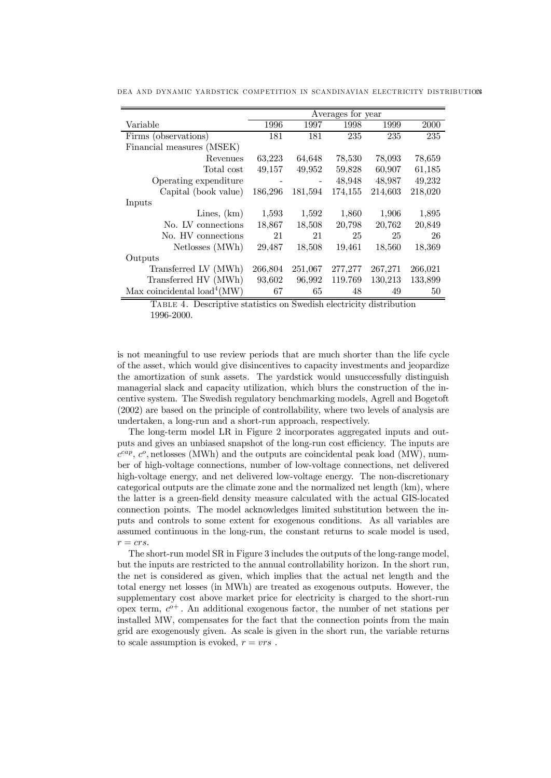|                                         |         |         | Averages for year |         |         |
|-----------------------------------------|---------|---------|-------------------|---------|---------|
| Variable                                | 1996    | 1997    | 1998              | 1999    | 2000    |
| Firms (observations)                    | 181     | 181     | 235               | 235     | 235     |
| Financial measures (MSEK)               |         |         |                   |         |         |
| Revenues                                | 63,223  | 64,648  | 78,530            | 78,093  | 78,659  |
| Total cost                              | 49,157  | 49,952  | 59,828            | 60,907  | 61,185  |
| Operating expenditure                   |         |         | 48,948            | 48,987  | 49,232  |
| Capital (book value)                    | 186,296 | 181,594 | 174,155           | 214,603 | 218,020 |
| Inputs                                  |         |         |                   |         |         |
| Lines, $(km)$                           | 1,593   | 1,592   | 1,860             | 1,906   | 1,895   |
| No. LV connections                      | 18,867  | 18,508  | 20,798            | 20,762  | 20,849  |
| No. HV connections                      | 21      | 21      | 25                | 25      | 26      |
| Netlosses (MWh)                         | 29,487  | 18,508  | 19,461            | 18,560  | 18,369  |
| Outputs                                 |         |         |                   |         |         |
| Transferred LV (MWh)                    | 266,804 | 251,067 | 277,277           | 267,271 | 266,021 |
| Transferred HV (MWh)                    | 93,602  | 96,992  | 119.769           | 130,213 | 133,899 |
| Max coincidental load <sup>4</sup> (MW) | 67      | 65      | 48                | 49      | 50      |

DEA AND DYNAMIC YARDSTICK COMPETITION IN SCANDINAVIAN ELECTRICITY DISTRIBUTIONS

Table 4. Descriptive statistics on Swedish electricity distribution 1996-2000.

is not meaningful to use review periods that are much shorter than the life cycle of the asset, which would give disincentives to capacity investments and jeopardize the amortization of sunk assets. The yardstick would unsuccessfully distinguish managerial slack and capacity utilization, which blurs the construction of the incentive system. The Swedish regulatory benchmarking models, Agrell and Bogetoft (2002) are based on the principle of controllability, where two levels of analysis are undertaken, a long-run and a short-run approach, respectively.

The long-term model LR in Figure 2 incorporates aggregated inputs and outputs and gives an unbiased snapshot of the long-run cost efficiency. The inputs are  $c^{cap}$ ,  $c^o$ , netlosses (MWh) and the outputs are coincidental peak load (MW), number of high-voltage connections, number of low-voltage connections, net delivered high-voltage energy, and net delivered low-voltage energy. The non-discretionary categorical outputs are the climate zone and the normalized net length (km), where the latter is a green-field density measure calculated with the actual GIS-located connection points. The model acknowledges limited substitution between the inputs and controls to some extent for exogenous conditions. As all variables are assumed continuous in the long-run, the constant returns to scale model is used,  $r = crs$ .

The short-run model SR in Figure 3 includes the outputs of the long-range model, but the inputs are restricted to the annual controllability horizon. In the short run, the net is considered as given, which implies that the actual net length and the total energy net losses (in MWh) are treated as exogenous outputs. However, the supplementary cost above market price for electricity is charged to the short-run opex term,  $c^{o+}$ . An additional exogenous factor, the number of net stations per installed MW, compensates for the fact that the connection points from the main grid are exogenously given. As scale is given in the short run, the variable returns to scale assumption is evoked,  $r = vrs$ .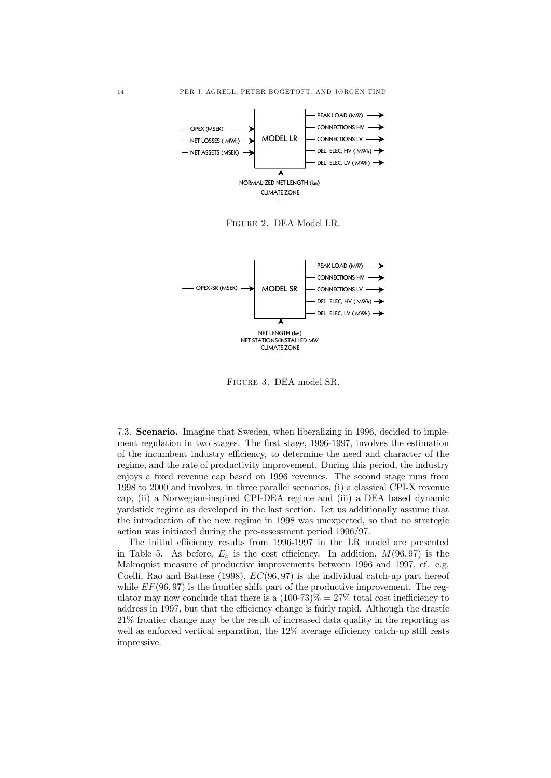

Figure 2. DEA Model LR.



Figure 3. DEA model SR.

7.3. Scenario. Imagine that Sweden, when liberalizing in 1996, decided to implement regulation in two stages. The first stage, 1996-1997, involves the estimation of the incumbent industry efficiency, to determine the need and character of the regime, and the rate of productivity improvement. During this period, the industry enjoys a fixed revenue cap based on 1996 revenues. The second stage runs from 1998 to 2000 and involves, in three parallel scenarios, (i) a classical CPI-X revenue cap, (ii) a Norwegian-inspired CPI-DEA regime and (iii) a DEA based dynamic yardstick regime as developed in the last section. Let us additionally assume that the introduction of the new regime in 1998 was unexpected, so that no strategic action was initiated during the pre-assessment period 1996/97.

The initial efficiency results from 1996-1997 in the LR model are presented in Table 5. As before,  $E_o$  is the cost efficiency. In addition,  $M(96, 97)$  is the Malmquist measure of productive improvements between 1996 and 1997, cf. e.g. Coelli, Rao and Battese (1998),  $EC(96, 97)$  is the individual catch-up part hereof while  $EF(96, 97)$  is the frontier shift part of the productive improvement. The regulator may now conclude that there is a  $(100-73)\% = 27\%$  total cost inefficiency to address in 1997, but that the efficiency change is fairly rapid. Although the drastic 21% frontier change may be the result of increased data quality in the reporting as well as enforced vertical separation, the  $12\%$  average efficiency catch-up still rests impressive.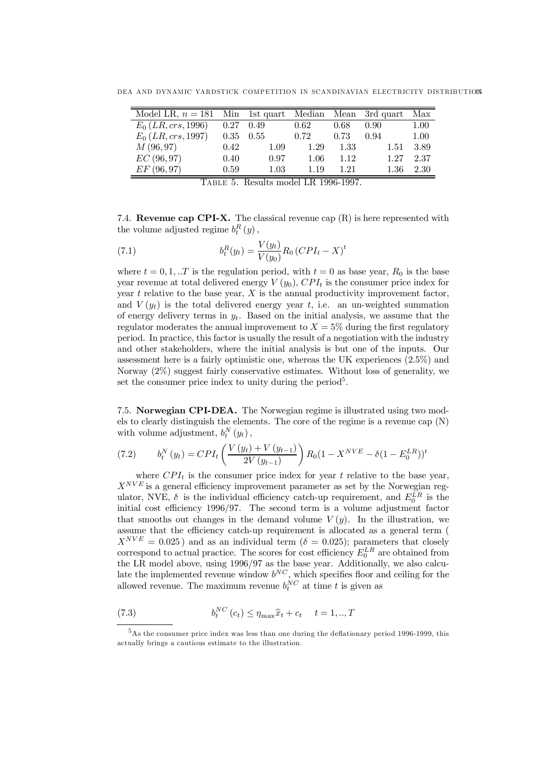DEA AND DYNAMIC YARDSTICK COMPETITION IN SCANDINAVIAN ELECTRICITY DISTRIBUTIONS

| Model LR, $n = 181$ Min 1st quart Median Mean 3rd quart |      |                   |      |      |          | Max  |
|---------------------------------------------------------|------|-------------------|------|------|----------|------|
| $E_0(LR, crs, 1996)$                                    |      | $0.27 \quad 0.49$ | 0.62 | 0.68 | 0.90     | 1.00 |
| $E_0(LR, crs, 1997)$                                    | 0.35 | 0.55              | 0.72 | 0.73 | 0.94     | 1.00 |
| M(96,97)                                                | 0.42 | 1.09              | 1.29 | 1.33 | 1.51     | 3.89 |
| EC(96,97)                                               | 0.40 | 0.97              | 1.06 | 1.12 | 1.27     | 2.37 |
| EF(96, 97)                                              | 0.59 | 1.03              | 1.19 | 1.21 | $1.36\,$ | 2.30 |

Table 5. Results model LR 1996-1997.

7.4. **Revenue cap CPI-X.** The classical revenue cap  $(R)$  is here represented with the volume adjusted regime  $b_t^R(y)$ ,

(7.1) 
$$
b_t^R(y_t) = \frac{V(y_t)}{V(y_0)} R_0 (CPI_t - X)^t
$$

where  $t = 0, 1, \ldots T$  is the regulation period, with  $t = 0$  as base year,  $R_0$  is the base year revenue at total delivered energy  $V(y_0)$ ,  $CPI_t$  is the consumer price index for year  $t$  relative to the base year,  $X$  is the annual productivity improvement factor, and  $V(y_t)$  is the total delivered energy year t, i.e. an un-weighted summation of energy delivery terms in  $y_t$ . Based on the initial analysis, we assume that the regulator moderates the annual improvement to  $X = 5\%$  during the first regulatory period. In practice, this factor is usually the result of a negotiation with the industry and other stakeholders, where the initial analysis is but one of the inputs. Our assessment here is a fairly optimistic one, whereas the UK experiences (2.5%) and Norway (2%) suggest fairly conservative estimates. Without loss of generality, we set the consumer price index to unity during the period<sup>5</sup>.

7.5. Norwegian CPI-DEA. The Norwegian regime is illustrated using two models to clearly distinguish the elements. The core of the regime is a revenue cap (N) with volume adjustment,  $b_t^N(y_t)$ ,

(7.2) 
$$
b_t^N(y_t) = CPI_t \left( \frac{V(y_t) + V(y_{t-1})}{2V(y_{t-1})} \right) R_0 (1 - X^{NVE} - \delta (1 - E_0^{LR}))^t
$$

where  $CPI_t$  is the consumer price index for year t relative to the base year,  $X^{NVE}$  is a general efficiency improvement parameter as set by the Norwegian regulator, NVE,  $\delta$  is the individual efficiency catch-up requirement, and  $E_0^{LR}$  is the initial cost efficiency  $1996/97$ . The second term is a volume adjustment factor that smooths out changes in the demand volume  $V(y)$ . In the illustration, we assume that the efficiency catch-up requirement is allocated as a general term (  $X^{NVE} = 0.025$ ) and as an individual term ( $\delta = 0.025$ ); parameters that closely correspond to actual practice. The scores for cost efficiency  $E_0^{LR}$  are obtained from the LR model above, using 1996/97 as the base year. Additionally, we also calculate the implemented revenue window  $b^{NC}$ , which specifies floor and ceiling for the allowed revenue. The maximum revenue  $b_t^{NC}$  at time t is given as

(7.3) 
$$
b_t^{NC} (c_t) \le \eta_{\max} \hat{x}_t + c_t \quad t = 1,..,T
$$

 $5As$  the consumer price index was less than one during the deflationary period 1996-1999, this actually brings a cautious estimate to the illustration.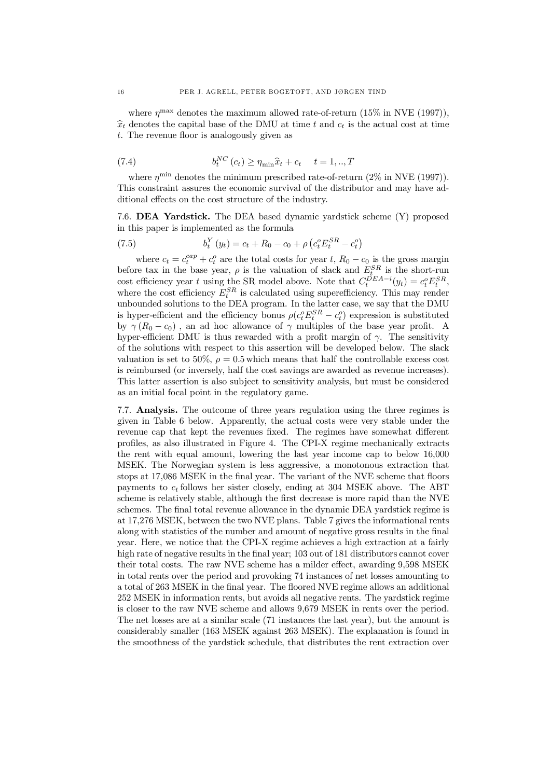where  $\eta^{\text{max}}$  denotes the maximum allowed rate-of-return (15% in NVE (1997)),  $\hat{x}_t$  denotes the capital base of the DMU at time t and  $c_t$  is the actual cost at time  $t$ . The revenue floor is analogously given as

(7.4) 
$$
b_t^{NC} (c_t) \ge \eta_{\min} \hat{x}_t + c_t \quad t = 1,..,T
$$

where  $\eta^{\min}$  denotes the minimum prescribed rate-of-return (2% in NVE (1997)). This constraint assures the economic survival of the distributor and may have additional effects on the cost structure of the industry.

7.6. DEA Yardstick. The DEA based dynamic yardstick scheme (Y) proposed in this paper is implemented as the formula

(7.5) 
$$
b_t^Y(y_t) = c_t + R_0 - c_0 + \rho \left( c_t^o E_t^{SR} - c_t^o \right)
$$

where  $c_t = c_t^{cap} + c_t^o$  are the total costs for year t,  $R_0 - c_0$  is the gross margin before tax in the base year,  $\rho$  is the valuation of slack and  $E_{t}^{SR}$  is the short-run cost efficiency year t using the SR model above. Note that  $C_t^{DEA-i}(y_t) = c_t^o E_t^{SR}$ , where the cost efficiency  $E_t^{SR}$  is calculated using superefficiency. This may render unbounded solutions to the DEA program. In the latter case, we say that the DMU is hyper-efficient and the efficiency bonus  $\rho(c_t^o E_t^{SR} - c_t^o)$  expression is substituted by  $\gamma(R_0 - c_0)$ , an ad hoc allowance of  $\gamma$  multiples of the base year profit. A hyper-efficient DMU is thus rewarded with a profit margin of  $\gamma$ . The sensitivity of the solutions with respect to this assertion will be developed below. The slack valuation is set to 50%,  $\rho = 0.5$  which means that half the controllable excess cost is reimbursed (or inversely, half the cost savings are awarded as revenue increases). This latter assertion is also subject to sensitivity analysis, but must be considered as an initial focal point in the regulatory game.

7.7. Analysis. The outcome of three years regulation using the three regimes is given in Table 6 below. Apparently, the actual costs were very stable under the revenue cap that kept the revenues fixed. The regimes have somewhat different profiles, as also illustrated in Figure 4. The CPI-X regime mechanically extracts the rent with equal amount, lowering the last year income cap to below 16,000 MSEK. The Norwegian system is less aggressive, a monotonous extraction that stops at 17,086 MSEK in the final year. The variant of the NVE scheme that floors payments to  $c_t$  follows her sister closely, ending at 304 MSEK above. The ABT scheme is relatively stable, although the first decrease is more rapid than the NVE schemes. The final total revenue allowance in the dynamic DEA yardstick regime is at 17,276 MSEK, between the two NVE plans. Table 7 gives the informational rents along with statistics of the number and amount of negative gross results in the final year. Here, we notice that the CPI-X regime achieves a high extraction at a fairly high rate of negative results in the final year; 103 out of 181 distributors cannot cover their total costs. The raw NVE scheme has a milder effect, awarding 9,598 MSEK in total rents over the period and provoking 74 instances of net losses amounting to a total of 263 MSEK in the final year. The floored NVE regime allows an additional 252 MSEK in information rents, but avoids all negative rents. The yardstick regime is closer to the raw NVE scheme and allows 9,679 MSEK in rents over the period. The net losses are at a similar scale (71 instances the last year), but the amount is considerably smaller (163 MSEK against 263 MSEK). The explanation is found in the smoothness of the yardstick schedule, that distributes the rent extraction over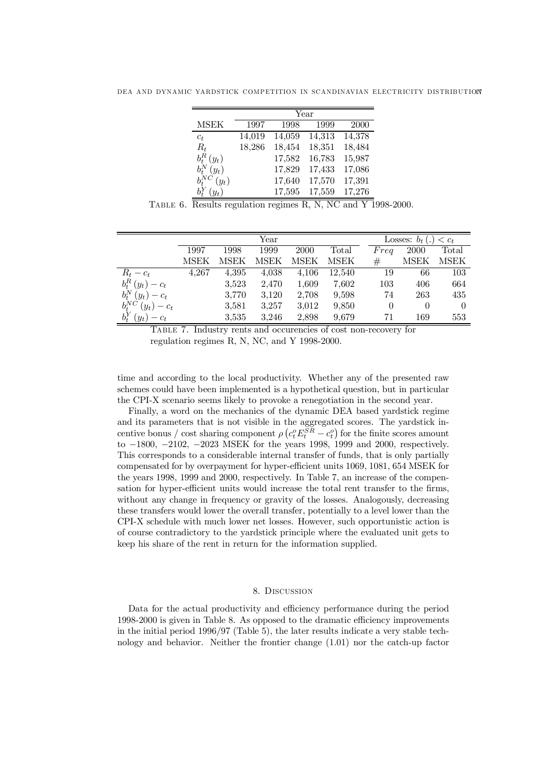|  | DEA AND DYNAMIC YARDSTICK COMPETITION IN SCANDINAVIAN ELECTRICITY DISTRIBUTION |  |
|--|--------------------------------------------------------------------------------|--|
|--|--------------------------------------------------------------------------------|--|

|                                |        |        | Year   |        |
|--------------------------------|--------|--------|--------|--------|
| <b>MSEK</b>                    | 1997   | 1998   | 1999   | 2000   |
| $c_t$                          | 14,019 | 14,059 | 14,313 | 14,378 |
| $R_t$                          | 18,286 | 18,454 | 18,351 | 18,484 |
| $b^R_{\pmb{\cdot}}$<br>$(y_t)$ |        | 17,582 | 16,783 | 15,987 |
| $(y_t)$<br>$b^N_{\ast}$        |        | 17,829 | 17,433 | 17,086 |
| $b_t^{NC}$<br>$(y_t)$          |        | 17,640 | 17,570 | 17,391 |
| $(y_t)$                        |        | 17,595 | 17,559 | 17,276 |

TABLE 6. Results regulation regimes R, N, NC and Y 1998-2000.

|                           | Year        |             |       |             |                |          | Losses: $b_t(.)$ | $\langle c_t$ |
|---------------------------|-------------|-------------|-------|-------------|----------------|----------|------------------|---------------|
|                           | 1997        | 1998        | 1999  | 2000        | $\text{Total}$ | Freq     | 2000             | Total         |
|                           | <b>MSEK</b> | <b>MSEK</b> | MSEK  | <b>MSEK</b> | MSEK           | #        | MSEK             | MSEK          |
| $R_t - c_t$               | 4.267       | 4,395       | 4,038 | 4,106       | 12,540         | 19       | 66               | 103           |
| $b_t^R(y_t)-c_t$          |             | 3,523       | 2,470 | 1,609       | 7.602          | 103      | 406              | 664           |
| $b_t^N(y_t)-c_t$          |             | 3,770       | 3,120 | 2,708       | 9,598          | 74       | 263              | 435           |
| $b_t^{NC}$<br>$(y_t)-c_t$ |             | 3,581       | 3,257 | 3,012       | 9,850          | $\theta$ | $\overline{0}$   | $\Omega$      |
| $b_t^Y(y_t)$<br>$-c_t$    |             | 3,535       | 3.246 | 2,898       | 9,679          | 71       | 169              | 553           |

Table 7. Industry rents and occurencies of cost non-recovery for regulation regimes R, N, NC, and Y 1998-2000.

time and according to the local productivity. Whether any of the presented raw schemes could have been implemented is a hypothetical question, but in particular the CPI-X scenario seems likely to provoke a renegotiation in the second year.

Finally, a word on the mechanics of the dynamic DEA based yardstick regime and its parameters that is not visible in the aggregated scores. The yardstick incentive bonus / cost sharing component  $\rho \left( c_t^o E_t^{SR} - c_t^o \right)$  for the finite scores amount to  $-1800$ ,  $-2102$ ,  $-2023$  MSEK for the years 1998, 1999 and 2000, respectively. This corresponds to a considerable internal transfer of funds, that is only partially compensated for by overpayment for hyper-efficient units 1069, 1081, 654 MSEK for the years 1998, 1999 and 2000, respectively. In Table 7, an increase of the compensation for hyper-efficient units would increase the total rent transfer to the firms, without any change in frequency or gravity of the losses. Analogously, decreasing these transfers would lower the overall transfer, potentially to a level lower than the CPI-X schedule with much lower net losses. However, such opportunistic action is of course contradictory to the yardstick principle where the evaluated unit gets to keep his share of the rent in return for the information supplied.

#### 8. Discussion

Data for the actual productivity and efficiency performance during the period  $1998-2000$  is given in Table 8. As opposed to the dramatic efficiency improvements in the initial period 1996/97 (Table 5), the later results indicate a very stable technology and behavior. Neither the frontier change (1.01) nor the catch-up factor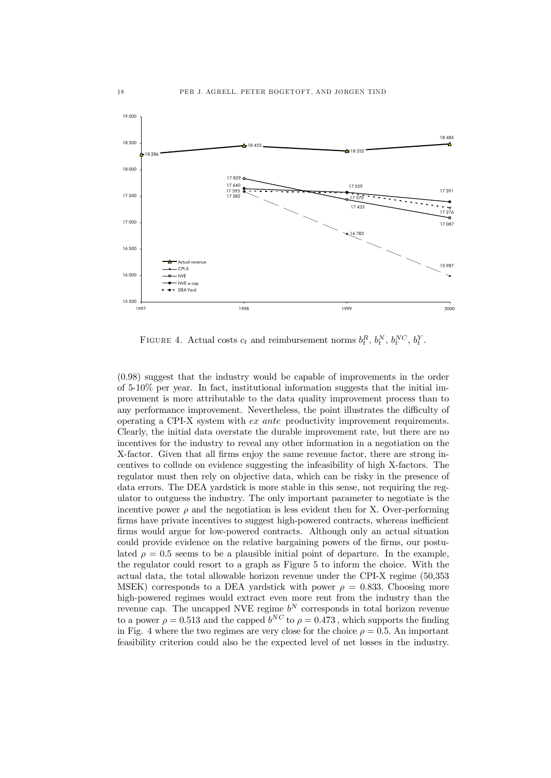

FIGURE 4. Actual costs  $c_t$  and reimbursement norms  $b_t^R$ ,  $b_t^N$ ,  $b_t^{NC}$ ,  $b_t^Y$ .

(0.98) suggest that the industry would be capable of improvements in the order of 5-10% per year. In fact, institutional information suggests that the initial improvement is more attributable to the data quality improvement process than to any performance improvement. Nevertheless, the point illustrates the difficulty of operating a CPI-X system with ex ante productivity improvement requirements. Clearly, the initial data overstate the durable improvement rate, but there are no incentives for the industry to reveal any other information in a negotiation on the X-factor. Given that all firms enjoy the same revenue factor, there are strong incentives to collude on evidence suggesting the infeasibility of high X-factors. The regulator must then rely on objective data, which can be risky in the presence of data errors. The DEA yardstick is more stable in this sense, not requiring the regulator to outguess the industry. The only important parameter to negotiate is the incentive power  $\rho$  and the negotiation is less evident then for X. Over-performing firms have private incentives to suggest high-powered contracts, whereas inefficient firms would argue for low-powered contracts. Although only an actual situation could provide evidence on the relative bargaining powers of the firms, our postulated  $\rho = 0.5$  seems to be a plausible initial point of departure. In the example, the regulator could resort to a graph as Figure 5 to inform the choice. With the actual data, the total allowable horizon revenue under the CPI-X regime (50,353 MSEK) corresponds to a DEA yardstick with power  $\rho = 0.833$ . Choosing more high-powered regimes would extract even more rent from the industry than the revenue cap. The uncapped NVE regime  $b^N$  corresponds in total horizon revenue to a power  $\rho = 0.513$  and the capped  $b^{NC}$  to  $\rho = 0.473$ , which supports the finding in Fig. 4 where the two regimes are very close for the choice  $\rho = 0.5$ . An important feasibility criterion could also be the expected level of net losses in the industry.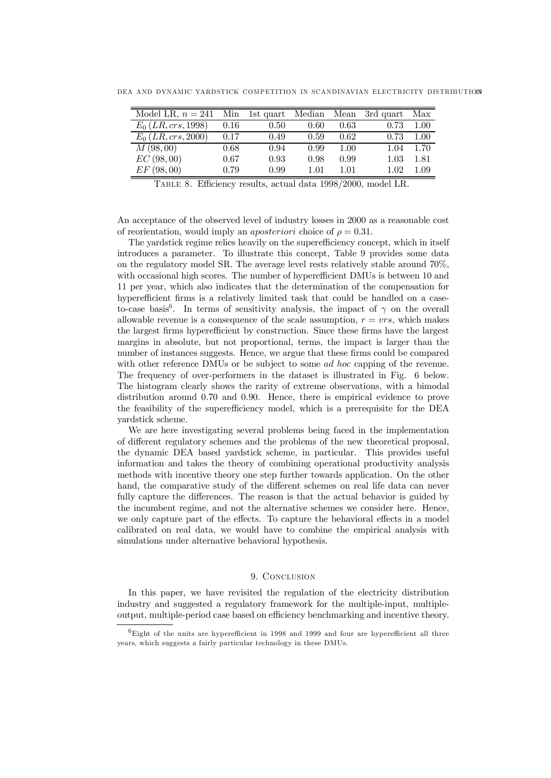DEA AND DYNAMIC YARDSTICK COMPETITION IN SCANDINAVIAN ELECTRICITY DISTRIBUTIONS

| Model LR, $n = 241$  |      | Min 1st quart Median |      |      | Mean 3rd quart | Max      |
|----------------------|------|----------------------|------|------|----------------|----------|
| $E_0(LR, crs, 1998)$ | 0.16 | 0.50                 | 0.60 | 0.63 | 0.73           | 1.00     |
| $E_0(LR, crs, 2000)$ | 0.17 | 0.49                 | 0.59 | 0.62 | 0.73           | 1.00     |
| M(98,00)             | 0.68 | 0.94                 | 0.99 | 1.00 | 1.04           | 1.70     |
| EC(98,00)            | 0.67 | 0.93                 | 0.98 | 0.99 | 1.03           | 1.81     |
| EF(98,00)            | 0.79 | 0.99                 | 1.01 | 1.01 | 1.02           | $1.09\,$ |

TABLE 8. Efficiency results, actual data 1998/2000, model LR.

An acceptance of the observed level of industry losses in 2000 as a reasonable cost of reorientation, would imply an *aposteriori* choice of  $\rho = 0.31$ .

The yardstick regime relies heavily on the superefficiency concept, which in itself introduces a parameter. To illustrate this concept, Table 9 provides some data on the regulatory model SR. The average level rests relatively stable around 70%, with occasional high scores. The number of hyperefficient DMUs is between 10 and 11 per year, which also indicates that the determination of the compensation for hyperefficient firms is a relatively limited task that could be handled on a caseto-case basis<sup>6</sup>. In terms of sensitivity analysis, the impact of  $\gamma$  on the overall allowable revenue is a consequence of the scale assumption,  $r = vrs$ , which makes the largest firms hyperefficient by construction. Since these firms have the largest margins in absolute, but not proportional, terms, the impact is larger than the number of instances suggests. Hence, we argue that these firms could be compared with other reference DMUs or be subject to some *ad hoc* capping of the revenue. The frequency of over-performers in the dataset is illustrated in Fig. 6 below. The histogram clearly shows the rarity of extreme observations, with a bimodal distribution around 0.70 and 0.90. Hence, there is empirical evidence to prove the feasibility of the superefficiency model, which is a prerequisite for the DEA yardstick scheme.

We are here investigating several problems being faced in the implementation of different regulatory schemes and the problems of the new theoretical proposal, the dynamic DEA based yardstick scheme, in particular. This provides useful information and takes the theory of combining operational productivity analysis methods with incentive theory one step further towards application. On the other hand, the comparative study of the different schemes on real life data can never fully capture the differences. The reason is that the actual behavior is guided by the incumbent regime, and not the alternative schemes we consider here. Hence, we only capture part of the effects. To capture the behavioral effects in a model calibrated on real data, we would have to combine the empirical analysis with simulations under alternative behavioral hypothesis.

## 9. CONCLUSION

In this paper, we have revisited the regulation of the electricity distribution industry and suggested a regulatory framework for the multiple-input, multipleoutput, multiple-period case based on efficiency benchmarking and incentive theory.

 ${}^{6}$ Eight of the units are hyperefficient in 1998 and 1999 and four are hyperefficient all three years, which suggests a fairly particular technology in these DMUs.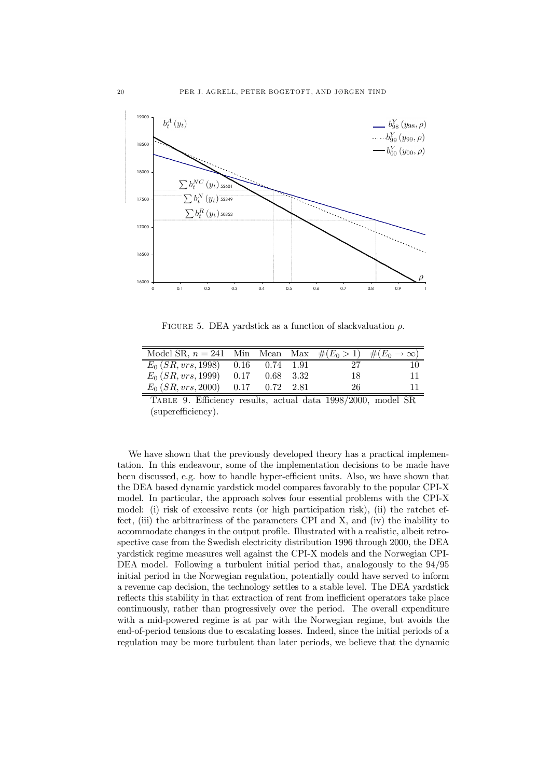

FIGURE 5. DEA yardstick as a function of slackvaluation  $\rho$ .

| Model SR, $n = 241$ Min Mean Max $\#(E_0 > 1)$ $\#(E_0 \to \infty)$ |  |    |  |
|---------------------------------------------------------------------|--|----|--|
| $E_0(SR, vrs, 1998)$ 0.16 0.74 1.91                                 |  |    |  |
| $E_0(SR, vrs, 1999)$ 0.17 0.68 3.32                                 |  | 18 |  |
| $E_0(SR, vrs, 2000)$ 0.17 0.72 2.81                                 |  | 26 |  |

TABLE 9. Efficiency results, actual data 1998/2000, model SR (superefficiency).

We have shown that the previously developed theory has a practical implementation. In this endeavour, some of the implementation decisions to be made have been discussed, e.g. how to handle hyper-efficient units. Also, we have shown that the DEA based dynamic yardstick model compares favorably to the popular CPI-X model. In particular, the approach solves four essential problems with the CPI-X model: (i) risk of excessive rents (or high participation risk), (ii) the ratchet effect, (iii) the arbitrariness of the parameters CPI and X, and (iv) the inability to accommodate changes in the output profile. Illustrated with a realistic, albeit retrospective case from the Swedish electricity distribution 1996 through 2000, the DEA yardstick regime measures well against the CPI-X models and the Norwegian CPI-DEA model. Following a turbulent initial period that, analogously to the 94/95 initial period in the Norwegian regulation, potentially could have served to inform a revenue cap decision, the technology settles to a stable level. The DEA yardstick reflects this stability in that extraction of rent from inefficient operators take place continuously, rather than progressively over the period. The overall expenditure with a mid-powered regime is at par with the Norwegian regime, but avoids the end-of-period tensions due to escalating losses. Indeed, since the initial periods of a regulation may be more turbulent than later periods, we believe that the dynamic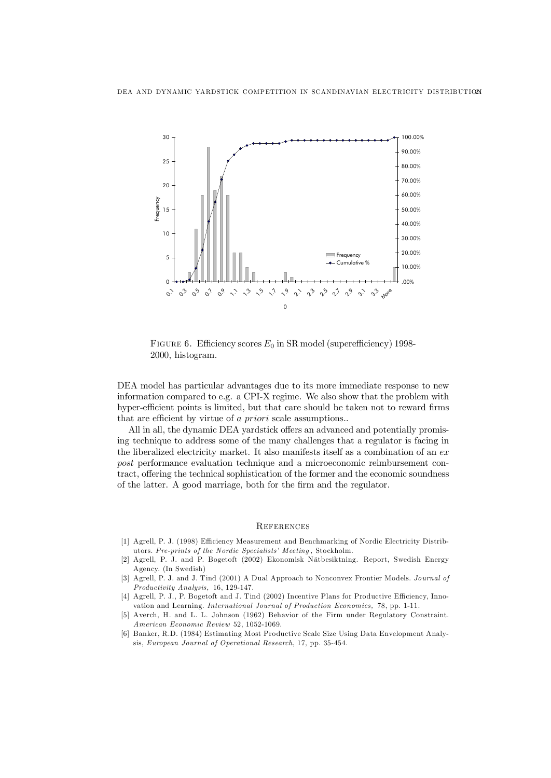

FIGURE 6. Efficiency scores  $E_0$  in SR model (superefficiency) 1998-2000, histogram.

DEA model has particular advantages due to its more immediate response to new information compared to e.g. a CPI-X regime. We also show that the problem with hyper-efficient points is limited, but that care should be taken not to reward firms that are efficient by virtue of  $a$  priori scale assumptions..

All in all, the dynamic DEA yardstick offers an advanced and potentially promising technique to address some of the many challenges that a regulator is facing in the liberalized electricity market. It also manifests itself as a combination of an  $ex$ post performance evaluation technique and a microeconomic reimbursement contract, offering the technical sophistication of the former and the economic soundness of the latter. A good marriage, both for the firm and the regulator.

#### **REFERENCES**

- [1] Agrell, P. J. (1998) Efficiency Measurement and Benchmarking of Nordic Electricity Distributors. Pre-prints of the Nordic Specialists' Meeting, Stockholm.
- [2] Agrell, P. J. and P. Bogetoft (2002) Ekonomisk Nätbesiktning. Report, Swedish Energy Agency. (In Swedish)
- [3] Agrell, P. J. and J. Tind (2001) A Dual Approach to Nonconvex Frontier Models. Journal of Productivity Analysis, 16, 129-147.
- [4] Agrell, P. J., P. Bogetoft and J. Tind (2002) Incentive Plans for Productive Efficiency, Innovation and Learning. International Journal of Production Economics, 78, pp. 1-11.
- [5] Averch, H. and L. L. Johnson (1962) Behavior of the Firm under Regulatory Constraint. American Economic Review 52, 1052-1069.
- [6] Banker, R.D. (1984) Estimating Most Productive Scale Size Using Data Envelopment Analysis, European Journal of Operational Research, 17, pp. 35-454.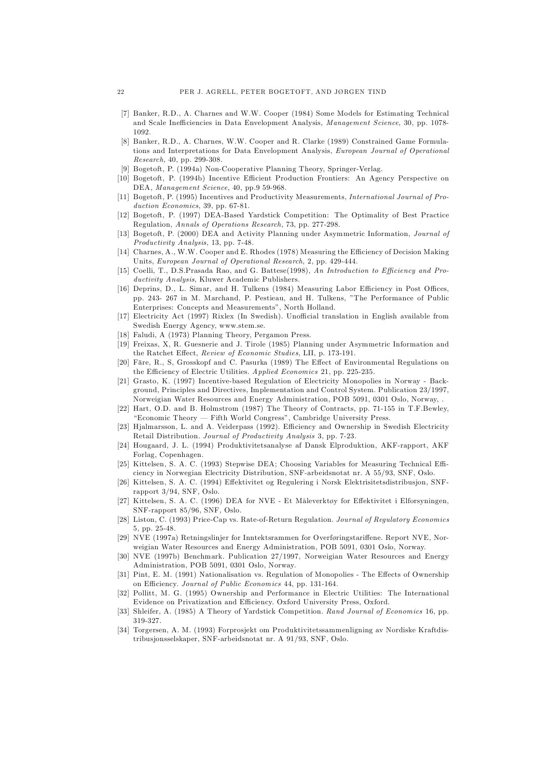- [7] Banker, R.D., A. Charnes and W.W. Cooper (1984) Some Models for Estimating Technical and Scale Inefficiencies in Data Envelopment Analysis, Management Science, 30, pp. 1078-1092.
- [8] Banker, R.D., A. Charnes, W.W. Cooper and R. Clarke (1989) Constrained Game Formulations and Interpretations for Data Envelopment Analysis, European Journal of Operational Research, 40, pp. 299-308.
- [9] Bogetoft, P. (1994a) Non-Cooperative Planning Theory, Springer-Verlag.
- [10] Bogetoft, P. (1994b) Incentive Efficient Production Frontiers: An Agency Perspective on DEA, Management Science, 40, pp.9 59-968.
- [11] Bogetoft, P. (1995) Incentives and Productivity Measurements, International Journal of Production Economics, 39, pp. 67-81.
- [12] Bogetoft, P. (1997) DEA-Based Yardstick Competition: The Optimality of Best Practice Regulation, Annals of Operations Research, 73, pp. 277-298.
- [13] Bogetoft, P. (2000) DEA and Activity Planning under Asymmetric Information, Journal of Productivity Analysis, 13, pp. 7-48.
- [14] Charnes, A., W.W. Cooper and E. Rhodes (1978) Measuring the Efficiency of Decision Making Units, European Journal of Operational Research, 2, pp. 429-444.
- [15] Coelli, T., D.S.Prasada Rao, and G. Battese(1998), An Introduction to Efficiency and Productivity Analysis, Kluwer Academic Publishers.
- [16] Deprins, D., L. Simar, and H. Tulkens (1984) Measuring Labor Efficiency in Post Offices, pp. 243- 267 in M. Marchand, P. Pestieau, and H. Tulkens, The Performance of Public Enterprises: Concepts and Measurements", North Holland.
- [17] Electricity Act (1997) Rixlex (In Swedish). Unofficial translation in English available from Swedish Energy Agency, www.stem.se.
- [18] Faludi, A (1973) Planning Theory, Pergamon Press.
- [19] Freixas, X, R. Guesnerie and J. Tirole (1985) Planning under Asymmetric Information and the Ratchet Effect, Review of Economic Studies, LII, p. 173-191.
- [20] Färe, R., S, Grosskopf and C. Pasurka (1989) The Effect of Environmental Regulations on the Efficiency of Electric Utilities. Applied Economics 21, pp. 225-235.
- [21] Grasto, K. (1997) Incentive-based Regulation of Electricity Monopolies in Norway Background, Principles and Directives, Implementation and Control System. Publication 23/1997, Norweigian Water Resources and Energy Administration, POB 5091, 0301 Oslo, Norway, .
- [22] Hart, O.D. and B. Holmstrom (1987) The Theory of Contracts, pp. 71-155 in T.F.Bewley, "Economic Theory — Fifth World Congress", Cambridge University Press.
- [23] Hjalmarsson, L. and A. Veiderpass (1992). Efficiency and Ownership in Swedish Electricity Retail Distribution. Journal of Productivity Analysis 3, pp. 7-23.
- [24] Hougaard, J. L. (1994) Produktivitetsanalyse af Dansk Elproduktion, AKF-rapport, AKF Forlag, Copenhagen.
- [25] Kittelsen, S. A. C. (1993) Stepwise DEA; Choosing Variables for Measuring Technical Efficiency in Norwegian Electricity Distribution, SNF-arbeidsnotat nr. A 55/93, SNF, Oslo.
- [26] Kittelsen, S. A. C. (1994) E¤ektivitet og Regulering i Norsk Elektrisitetsdistribusjon, SNFrapport 3/94, SNF, Oslo.
- [27] Kittelsen, S. A. C. (1996) DEA for NVE Et Måleverktøy for Effektivitet i Elforsyningen, SNF-rapport 85/96, SNF, Oslo.
- [28] Liston, C. (1993) Price-Cap vs. Rate-of-Return Regulation. Journal of Regulatory Economics 5, pp. 25-48.
- [29] NVE (1997a) Retningslinjer for Inntektsrammen for Overføringstariffene. Report NVE, Norweigian Water Resources and Energy Administration, POB 5091, 0301 Oslo, Norway.
- [30] NVE (1997b) Benchmark. Publication 27/1997, Norweigian Water Resources and Energy Administration, POB 5091, 0301 Oslo, Norway.
- [31] Pint, E. M. (1991) Nationalisation vs. Regulation of Monopolies The Effects of Ownership on Efficiency. Journal of Public Economics 44, pp. 131-164.
- [32] Pollitt, M. G. (1995) Ownership and Performance in Electric Utilities: The International Evidence on Privatization and Efficiency. Oxford University Press, Oxford.
- [33] Shleifer, A. (1985) A Theory of Yardstick Competition. Rand Journal of Economics 16, pp. 319-327.
- [34] Torgersen, A. M. (1993) Forprosjekt om Produktivitetssammenligning av Nordiske Kraftdistribusjonsselskaper, SNF-arbeidsnotat nr. A 91/93, SNF, Oslo.